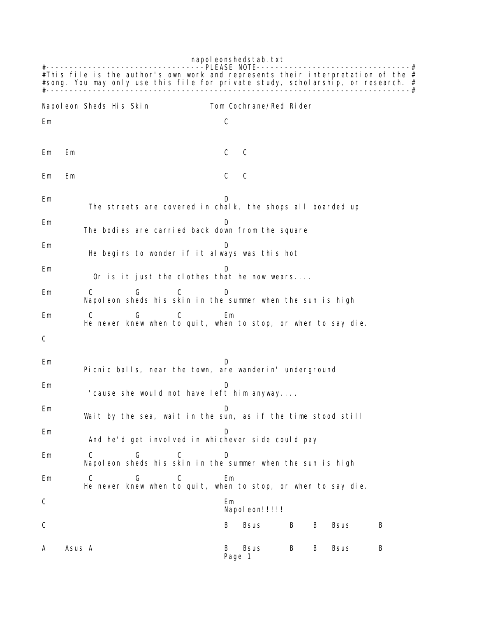napol eonshedstab.txt #----------------------------------PLEASE NOTE---------------------------------# #This file is the author's own work and represents their interpretation of the  $#$ #song. You may only use this file for private study, scholarship, or research. # #------------------------------------------------------------------------------# Napoleon Sheds His Skin Tom Cochrane/Red Rider Em C Em Em C C Em Em C C Em D The streets are covered in chalk, the shops all boarded up Em D The bodies are carried back down from the square Em D He begins to wonder if it always was this hot Em D Or is it just the clothes that he now wears.... Em C G C D Napoleon sheds his skin in the summer when the sun is high Em C G C Em He never knew when to quit, when to stop, or when to say die. C Em D Picnic balls, near the town, are wanderin' underground Em D 'cause she would not have left him anyway.... Em D Wait by the sea, wait in the sun, as if the time stood still Em D And he'd get involved in whichever side could pay Em C G C D Napoleon sheds his skin in the summer when the sun is high Em C G C Em He never knew when to quit, when to stop, or when to say die. C<sub>2</sub> Employees **C**<sub>2</sub> Employees **Employees** Napoleon!!!!! C B Bsus B B Bsus B A Asus A B Bsus B B Bsus B Page 1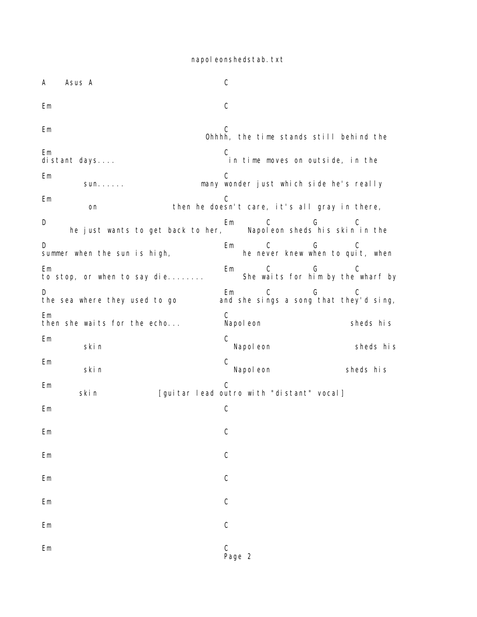napol eonshedstab.txt

A Asus A C Em C Em C Ohhhh, the time stands still behind the Em C Em<br>distant days.... in time moves on outside, in the Em C sun...... many wonder just which side he's really Em C on then he doesn't care, it's all gray in there, D<br>
D Em C G C<br>
he just wants to get back to her, Napoleon sheds his skin in the he just wants to get back to her,  $\overline{\phantom{a}}$ D B Em C G C summer when the sun is high,  $\hphantom{a}$  he never knew when to quit, when Em Em C G C to stop, or when to say die........ She waits for him by the wharf by D B Em C G C the sea where they used to go and she sings a song that they'd sing, Em C then she waits for the echo... Napoleon sheds his Em C skin Napoleon Skin Sheds his Em C skin Napoleon Sheds his Em C skin [guitar lead outro with "distant" vocal] Em C Em C Em C Em C Em C Em C Em C Page 2